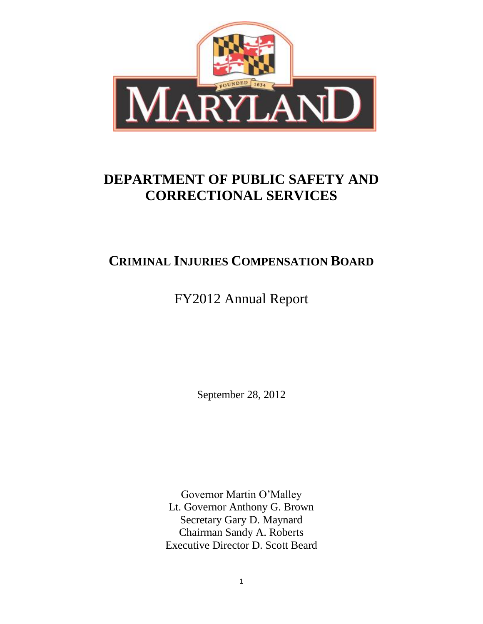

# **DEPARTMENT OF PUBLIC SAFETY AND CORRECTIONAL SERVICES**

## **CRIMINAL INJURIES COMPENSATION BOARD**

FY2012 Annual Report

September 28, 2012

Governor Martin O'Malley Lt. Governor Anthony G. Brown Secretary Gary D. Maynard Chairman Sandy A. Roberts Executive Director D. Scott Beard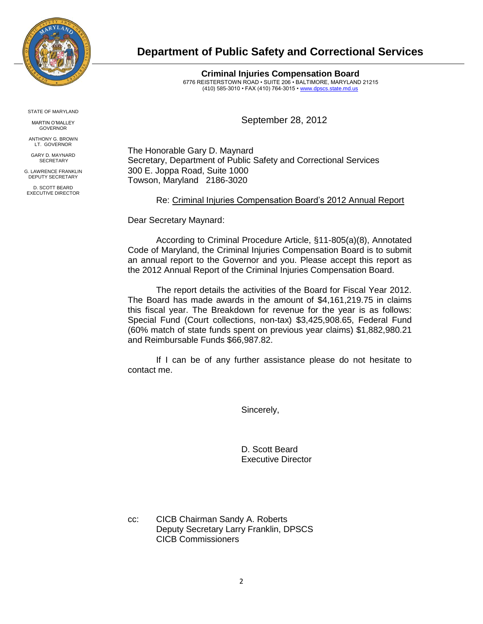

**Department of Public Safety and Correctional Services**

**Criminal Injuries Compensation Board** 6776 REISTERSTOWN ROAD • SUITE 206 • BALTIMORE, MARYLAND 21215 (410) 585-3010 • FAX (410) 764-3015 [• www.dpscs.state.md.us](http://www.dpscs.state.md.us/)

September 28, 2012

The Honorable Gary D. Maynard Secretary, Department of Public Safety and Correctional Services 300 E. Joppa Road, Suite 1000 Towson, Maryland 2186-3020

Re: Criminal Injuries Compensation Board's 2012 Annual Report

Dear Secretary Maynard:

According to Criminal Procedure Article, §11-805(a)(8), Annotated Code of Maryland, the Criminal Injuries Compensation Board is to submit an annual report to the Governor and you. Please accept this report as the 2012 Annual Report of the Criminal Injuries Compensation Board.

The report details the activities of the Board for Fiscal Year 2012. The Board has made awards in the amount of \$4,161,219.75 in claims this fiscal year. The Breakdown for revenue for the year is as follows: Special Fund (Court collections, non-tax) \$3,425,908.65, Federal Fund (60% match of state funds spent on previous year claims) \$1,882,980.21 and Reimbursable Funds \$66,987.82.

If I can be of any further assistance please do not hesitate to contact me.

Sincerely,

D. Scott Beard Executive Director

cc: CICB Chairman Sandy A. Roberts Deputy Secretary Larry Franklin, DPSCS CICB Commissioners

STATE OF MARYLAND

MARTIN O'MALLEY GOVERNOR

ANTHONY G. BROWN LT. GOVERNOR

GARY D. MAYNARD **SECRETARY** 

G. LAWRENCE FRANKLIN DEPUTY SECRETARY

D. SCOTT BEARD EXECUTIVE DIRECTOR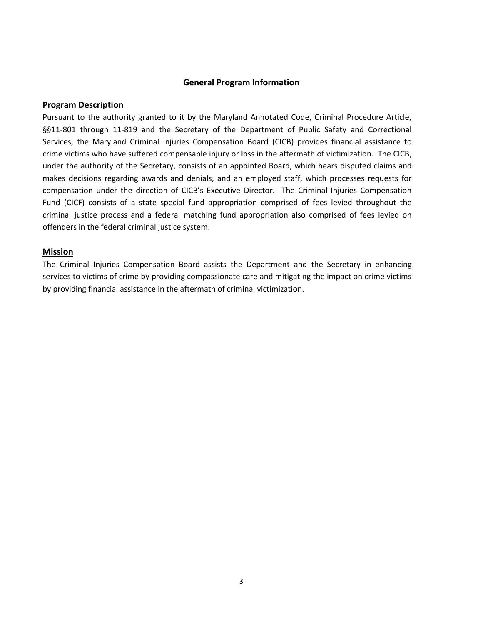#### **General Program Information**

#### **Program Description**

Pursuant to the authority granted to it by the Maryland Annotated Code, Criminal Procedure Article, §§11-801 through 11-819 and the Secretary of the Department of Public Safety and Correctional Services, the Maryland Criminal Injuries Compensation Board (CICB) provides financial assistance to crime victims who have suffered compensable injury or loss in the aftermath of victimization. The CICB, under the authority of the Secretary, consists of an appointed Board, which hears disputed claims and makes decisions regarding awards and denials, and an employed staff, which processes requests for compensation under the direction of CICB's Executive Director. The Criminal Injuries Compensation Fund (CICF) consists of a state special fund appropriation comprised of fees levied throughout the criminal justice process and a federal matching fund appropriation also comprised of fees levied on offenders in the federal criminal justice system.

#### **Mission**

The Criminal Injuries Compensation Board assists the Department and the Secretary in enhancing services to victims of crime by providing compassionate care and mitigating the impact on crime victims by providing financial assistance in the aftermath of criminal victimization.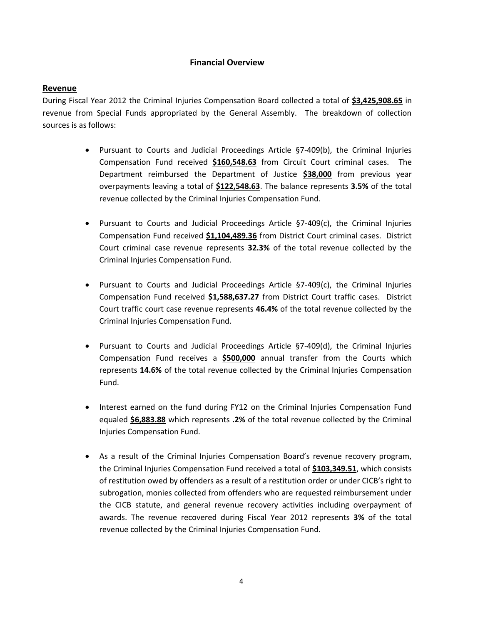#### **Financial Overview**

#### **Revenue**

During Fiscal Year 2012 the Criminal Injuries Compensation Board collected a total of **\$3,425,908.65** in revenue from Special Funds appropriated by the General Assembly. The breakdown of collection sources is as follows:

- Pursuant to Courts and Judicial Proceedings Article §7-409(b), the Criminal Injuries Compensation Fund received **\$160,548.63** from Circuit Court criminal cases. The Department reimbursed the Department of Justice **\$38,000** from previous year overpayments leaving a total of **\$122,548.63**. The balance represents **3.5%** of the total revenue collected by the Criminal Injuries Compensation Fund.
- Pursuant to Courts and Judicial Proceedings Article §7-409(c), the Criminal Injuries Compensation Fund received **\$1,104,489.36** from District Court criminal cases. District Court criminal case revenue represents **32.3%** of the total revenue collected by the Criminal Injuries Compensation Fund.
- Pursuant to Courts and Judicial Proceedings Article §7-409(c), the Criminal Injuries Compensation Fund received **\$1,588,637.27** from District Court traffic cases. District Court traffic court case revenue represents **46.4%** of the total revenue collected by the Criminal Injuries Compensation Fund.
- Pursuant to Courts and Judicial Proceedings Article §7-409(d), the Criminal Injuries Compensation Fund receives a **\$500,000** annual transfer from the Courts which represents **14.6%** of the total revenue collected by the Criminal Injuries Compensation Fund.
- Interest earned on the fund during FY12 on the Criminal Injuries Compensation Fund equaled **\$6,883.88** which represents **.2%** of the total revenue collected by the Criminal Injuries Compensation Fund.
- As a result of the Criminal Injuries Compensation Board's revenue recovery program, the Criminal Injuries Compensation Fund received a total of **\$103,349.51**, which consists of restitution owed by offenders as a result of a restitution order or under CICB's right to subrogation, monies collected from offenders who are requested reimbursement under the CICB statute, and general revenue recovery activities including overpayment of awards. The revenue recovered during Fiscal Year 2012 represents **3%** of the total revenue collected by the Criminal Injuries Compensation Fund.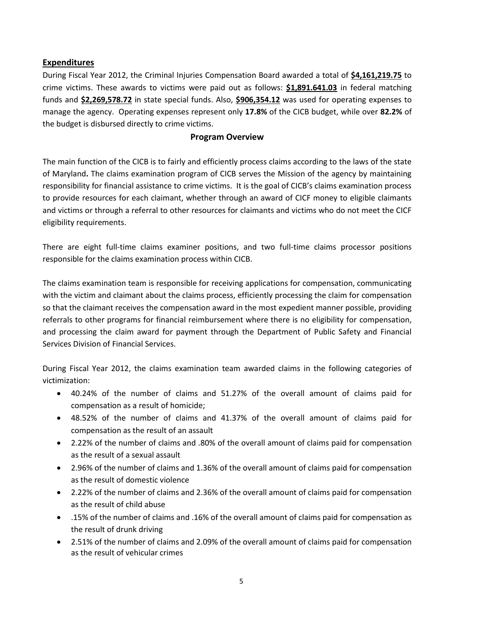### **Expenditures**

During Fiscal Year 2012, the Criminal Injuries Compensation Board awarded a total of **\$4,161,219.75** to crime victims. These awards to victims were paid out as follows: **\$1,891.641.03** in federal matching funds and **\$2,269,578.72** in state special funds. Also, **\$906,354.12** was used for operating expenses to manage the agency. Operating expenses represent only **17.8%** of the CICB budget, while over **82.2%** of the budget is disbursed directly to crime victims.

#### **Program Overview**

The main function of the CICB is to fairly and efficiently process claims according to the laws of the state of Maryland**.** The claims examination program of CICB serves the Mission of the agency by maintaining responsibility for financial assistance to crime victims. It is the goal of CICB's claims examination process to provide resources for each claimant, whether through an award of CICF money to eligible claimants and victims or through a referral to other resources for claimants and victims who do not meet the CICF eligibility requirements.

There are eight full-time claims examiner positions, and two full-time claims processor positions responsible for the claims examination process within CICB.

The claims examination team is responsible for receiving applications for compensation, communicating with the victim and claimant about the claims process, efficiently processing the claim for compensation so that the claimant receives the compensation award in the most expedient manner possible, providing referrals to other programs for financial reimbursement where there is no eligibility for compensation, and processing the claim award for payment through the Department of Public Safety and Financial Services Division of Financial Services.

During Fiscal Year 2012, the claims examination team awarded claims in the following categories of victimization:

- 40.24% of the number of claims and 51.27% of the overall amount of claims paid for compensation as a result of homicide;
- 48.52% of the number of claims and 41.37% of the overall amount of claims paid for compensation as the result of an assault
- 2.22% of the number of claims and .80% of the overall amount of claims paid for compensation as the result of a sexual assault
- 2.96% of the number of claims and 1.36% of the overall amount of claims paid for compensation as the result of domestic violence
- 2.22% of the number of claims and 2.36% of the overall amount of claims paid for compensation as the result of child abuse
- .15% of the number of claims and .16% of the overall amount of claims paid for compensation as the result of drunk driving
- 2.51% of the number of claims and 2.09% of the overall amount of claims paid for compensation as the result of vehicular crimes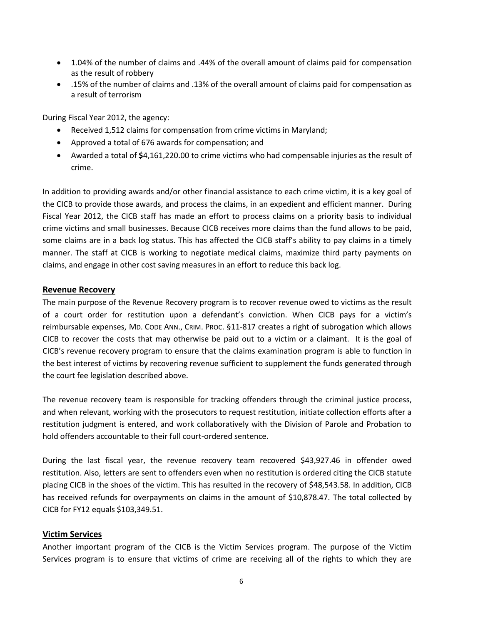- 1.04% of the number of claims and .44% of the overall amount of claims paid for compensation as the result of robbery
- .15% of the number of claims and .13% of the overall amount of claims paid for compensation as a result of terrorism

During Fiscal Year 2012, the agency:

- Received 1,512 claims for compensation from crime victims in Maryland;
- Approved a total of 676 awards for compensation; and
- Awarded a total of **\$**4,161,220.00 to crime victims who had compensable injuries as the result of crime.

In addition to providing awards and/or other financial assistance to each crime victim, it is a key goal of the CICB to provide those awards, and process the claims, in an expedient and efficient manner. During Fiscal Year 2012, the CICB staff has made an effort to process claims on a priority basis to individual crime victims and small businesses. Because CICB receives more claims than the fund allows to be paid, some claims are in a back log status. This has affected the CICB staff's ability to pay claims in a timely manner. The staff at CICB is working to negotiate medical claims, maximize third party payments on claims, and engage in other cost saving measures in an effort to reduce this back log.

#### **Revenue Recovery**

The main purpose of the Revenue Recovery program is to recover revenue owed to victims as the result of a court order for restitution upon a defendant's conviction. When CICB pays for a victim's reimbursable expenses, MD. CODE ANN., CRIM. PROC. §11-817 creates a right of subrogation which allows CICB to recover the costs that may otherwise be paid out to a victim or a claimant. It is the goal of CICB's revenue recovery program to ensure that the claims examination program is able to function in the best interest of victims by recovering revenue sufficient to supplement the funds generated through the court fee legislation described above.

The revenue recovery team is responsible for tracking offenders through the criminal justice process, and when relevant, working with the prosecutors to request restitution, initiate collection efforts after a restitution judgment is entered, and work collaboratively with the Division of Parole and Probation to hold offenders accountable to their full court-ordered sentence.

During the last fiscal year, the revenue recovery team recovered \$43,927.46 in offender owed restitution. Also, letters are sent to offenders even when no restitution is ordered citing the CICB statute placing CICB in the shoes of the victim. This has resulted in the recovery of \$48,543.58. In addition, CICB has received refunds for overpayments on claims in the amount of \$10,878.47. The total collected by CICB for FY12 equals \$103,349.51.

#### **Victim Services**

Another important program of the CICB is the Victim Services program. The purpose of the Victim Services program is to ensure that victims of crime are receiving all of the rights to which they are